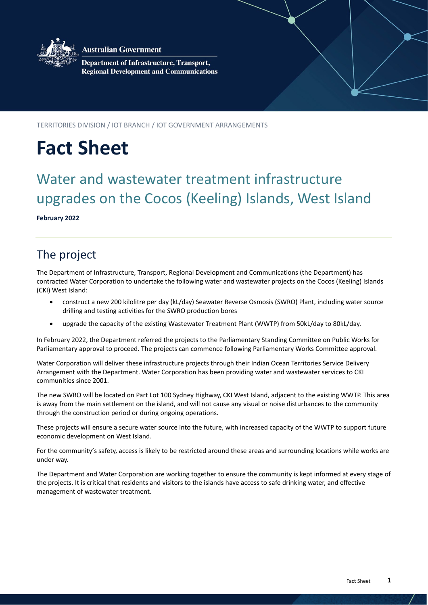

**Australian Government** 

**Department of Infrastructure, Transport, Regional Development and Communications** 

TERRITORIES DIVISION / IOT BRANCH / IOT GOVERNMENT ARRANGEMENTS

# **Fact Sheet**

# Water and wastewater treatment infrastructure upgrades on the Cocos (Keeling) Islands, West Island

**February 2022**

## The project

The Department of Infrastructure, Transport, Regional Development and Communications (the Department) has contracted Water Corporation to undertake the following water and wastewater projects on the Cocos (Keeling) Islands (CKI) West Island:

- construct a new 200 kilolitre per day (kL/day) Seawater Reverse Osmosis (SWRO) Plant, including water source drilling and testing activities for the SWRO production bores
- upgrade the capacity of the existing Wastewater Treatment Plant (WWTP) from 50kL/day to 80kL/day.

In February 2022, the Department referred the projects to the Parliamentary Standing Committee on Public Works for Parliamentary approval to proceed. The projects can commence following Parliamentary Works Committee approval.

Water Corporation will deliver these infrastructure projects through their Indian Ocean Territories Service Delivery Arrangement with the Department. Water Corporation has been providing water and wastewater services to CKI communities since 2001.

The new SWRO will be located on Part Lot 100 Sydney Highway, CKI West Island, adjacent to the existing WWTP. This area is away from the main settlement on the island, and will not cause any visual or noise disturbances to the community through the construction period or during ongoing operations.

These projects will ensure a secure water source into the future, with increased capacity of the WWTP to support future economic development on West Island.

For the community's safety, access is likely to be restricted around these areas and surrounding locations while works are under way.

The Department and Water Corporation are working together to ensure the community is kept informed at every stage of the projects. It is critical that residents and visitors to the islands have access to safe drinking water, and effective management of wastewater treatment.